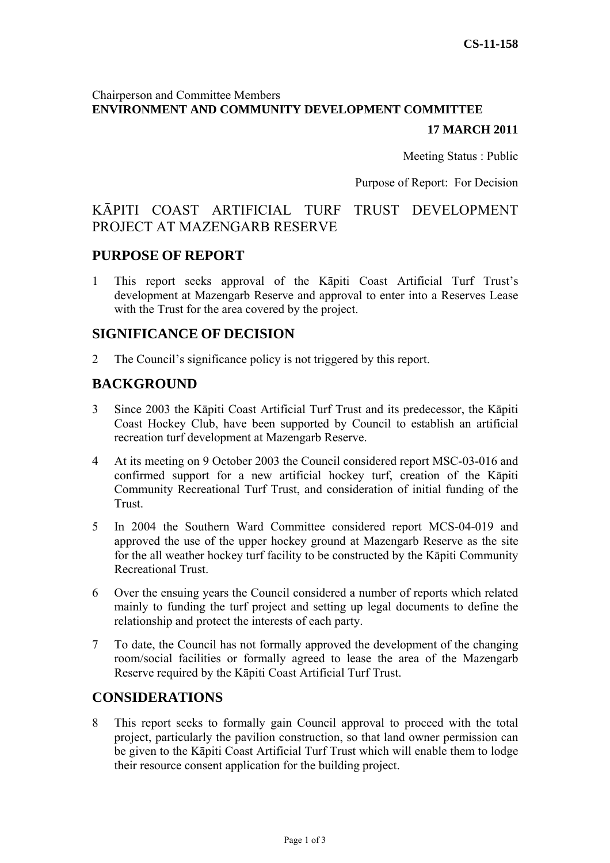# Chairperson and Committee Members **ENVIRONMENT AND COMMUNITY DEVELOPMENT COMMITTEE**

# **17 MARCH 2011**

Meeting Status : Public

Purpose of Report: For Decision

# KĀPITI COAST ARTIFICIAL TURF TRUST DEVELOPMENT PROJECT AT MAZENGARB RESERVE

## **PURPOSE OF REPORT**

1 This report seeks approval of the Kāpiti Coast Artificial Turf Trust's development at Mazengarb Reserve and approval to enter into a Reserves Lease with the Trust for the area covered by the project.

# **SIGNIFICANCE OF DECISION**

2 The Council's significance policy is not triggered by this report.

# **BACKGROUND**

- 3 Since 2003 the Kāpiti Coast Artificial Turf Trust and its predecessor, the Kāpiti Coast Hockey Club, have been supported by Council to establish an artificial recreation turf development at Mazengarb Reserve.
- 4 At its meeting on 9 October 2003 the Council considered report MSC-03-016 and confirmed support for a new artificial hockey turf, creation of the Kāpiti Community Recreational Turf Trust, and consideration of initial funding of the Trust.
- 5 In 2004 the Southern Ward Committee considered report MCS-04-019 and approved the use of the upper hockey ground at Mazengarb Reserve as the site for the all weather hockey turf facility to be constructed by the Kāpiti Community Recreational Trust.
- 6 Over the ensuing years the Council considered a number of reports which related mainly to funding the turf project and setting up legal documents to define the relationship and protect the interests of each party.
- 7 To date, the Council has not formally approved the development of the changing room/social facilities or formally agreed to lease the area of the Mazengarb Reserve required by the Kāpiti Coast Artificial Turf Trust.

# **CONSIDERATIONS**

8 This report seeks to formally gain Council approval to proceed with the total project, particularly the pavilion construction, so that land owner permission can be given to the Kāpiti Coast Artificial Turf Trust which will enable them to lodge their resource consent application for the building project.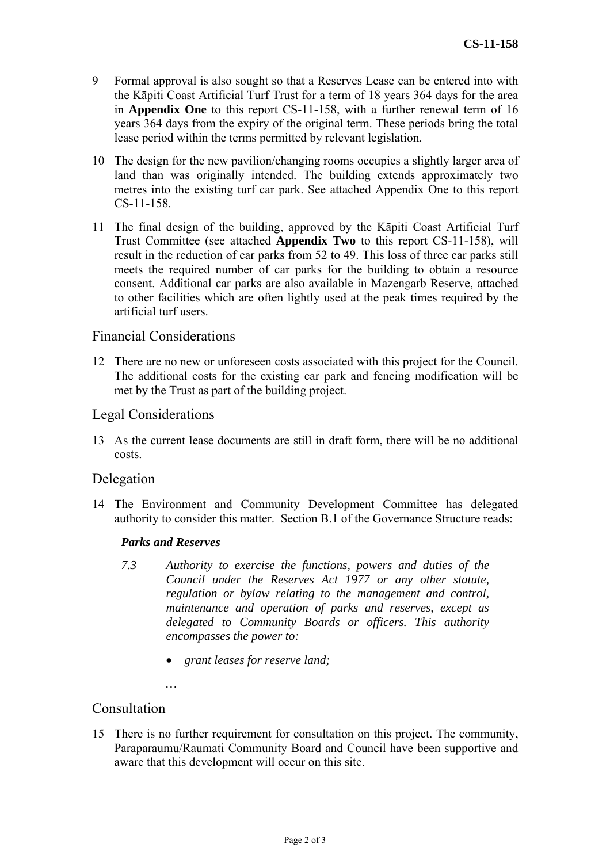- 9 Formal approval is also sought so that a Reserves Lease can be entered into with the Kāpiti Coast Artificial Turf Trust for a term of 18 years 364 days for the area in **Appendix One** to this report CS-11-158, with a further renewal term of 16 years 364 days from the expiry of the original term. These periods bring the total lease period within the terms permitted by relevant legislation.
- 10 The design for the new pavilion/changing rooms occupies a slightly larger area of land than was originally intended. The building extends approximately two metres into the existing turf car park. See attached Appendix One to this report CS-11-158.
- 11 The final design of the building, approved by the Kāpiti Coast Artificial Turf Trust Committee (see attached **Appendix Two** to this report CS-11-158), will result in the reduction of car parks from 52 to 49. This loss of three car parks still meets the required number of car parks for the building to obtain a resource consent. Additional car parks are also available in Mazengarb Reserve, attached to other facilities which are often lightly used at the peak times required by the artificial turf users.

## Financial Considerations

12 There are no new or unforeseen costs associated with this project for the Council. The additional costs for the existing car park and fencing modification will be met by the Trust as part of the building project.

#### Legal Considerations

13 As the current lease documents are still in draft form, there will be no additional costs.

#### Delegation

14 The Environment and Community Development Committee has delegated authority to consider this matter. Section B.1 of the Governance Structure reads:

#### *Parks and Reserves*

- *7.3 Authority to exercise the functions, powers and duties of the Council under the Reserves Act 1977 or any other statute, regulation or bylaw relating to the management and control, maintenance and operation of parks and reserves, except as delegated to Community Boards or officers. This authority encompasses the power to:* 
	- *grant leases for reserve land;*

*…* 

## Consultation

15 There is no further requirement for consultation on this project. The community, Paraparaumu/Raumati Community Board and Council have been supportive and aware that this development will occur on this site.